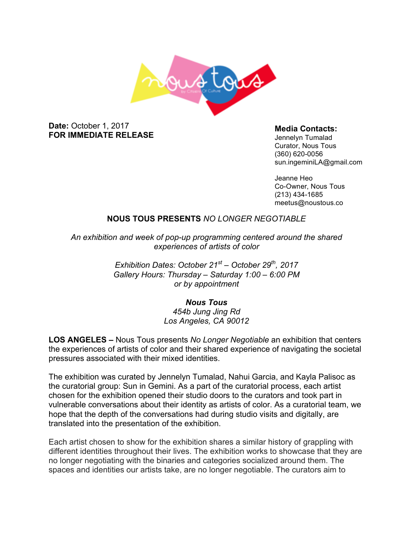

### **Date:** October 1, 2017 **FOR IMMEDIATE RELEASE**

### **Media Contacts:**

Jennelyn Tumalad Curator, Nous Tous (360) 620-0056 sun.ingeminiLA@gmail.com

Jeanne Heo Co-Owner, Nous Tous (213) 434-1685 meetus@noustous.co

# **NOUS TOUS PRESENTS** *NO LONGER NEGOTIABLE*

*An exhibition and week of pop-up programming centered around the shared experiences of artists of color*

> *Exhibition Dates: October 21st – October 29th, 2017 Gallery Hours: Thursday – Saturday 1:00 – 6:00 PM or by appointment*

## *Nous Tous 454b Jung Jing Rd Los Angeles, CA 90012*

**LOS ANGELES –** Nous Tous presents *No Longer Negotiable* an exhibition that centers the experiences of artists of color and their shared experience of navigating the societal pressures associated with their mixed identities.

The exhibition was curated by Jennelyn Tumalad, Nahui Garcia, and Kayla Palisoc as the curatorial group: Sun in Gemini. As a part of the curatorial process, each artist chosen for the exhibition opened their studio doors to the curators and took part in vulnerable conversations about their identity as artists of color. As a curatorial team, we hope that the depth of the conversations had during studio visits and digitally, are translated into the presentation of the exhibition.

Each artist chosen to show for the exhibition shares a similar history of grappling with different identities throughout their lives. The exhibition works to showcase that they are no longer negotiating with the binaries and categories socialized around them. The spaces and identities our artists take, are no longer negotiable. The curators aim to